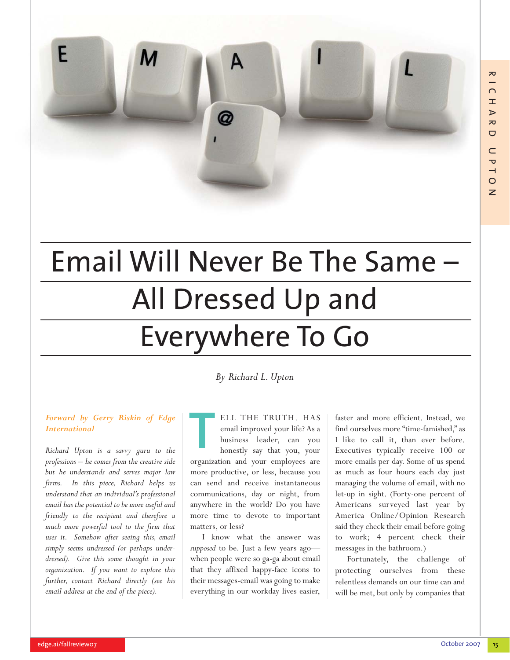

# Email Will Never Be The Same – All Dressed Up and Everywhere To Go

*By Richard L. Upton*

#### *Forward by Gerry Riskin of Edge International*

*Richard Upton is a savvy guru to the professions – he comes from the creative side but he understands and serves major law firms. In this piece, Richard helps us understand that an individual's professional email has the potential to be more useful and friendly to the recipient and therefore a much more powerful tool to the firm that uses it. Somehow after seeing this, email simply seems undressed (or perhaps underdressed). Give this some thought in your organization. If you want to explore this further, contact Richard directly (see his email address at the end of the piece).*

#### ELL THE TRUTH. HAS email improved your life? As a business leader, can you honestly say that you, your T

organization and your employees are more productive, or less, because you can send and receive instantaneous communications, day or night, from anywhere in the world? Do you have more time to devote to important matters, or less?

I know what the answer was *supposed* to be. Just a few years ago when people were so ga-ga about email that they affixed happy-face icons to their messages-email was going to make everything in our workday lives easier, faster and more efficient. Instead, we find ourselves more "time-famished," as I like to call it, than ever before. Executives typically receive 100 or more emails per day. Some of us spend as much as four hours each day just managing the volume of email, with no let-up in sight. (Forty-one percent of Americans surveyed last year by America Online/Opinion Research said they check their email before going to work; 4 percent check their messages in the bathroom.)

Fortunately, the challenge of protecting ourselves from these relentless demands on our time can and will be met, but only by companies that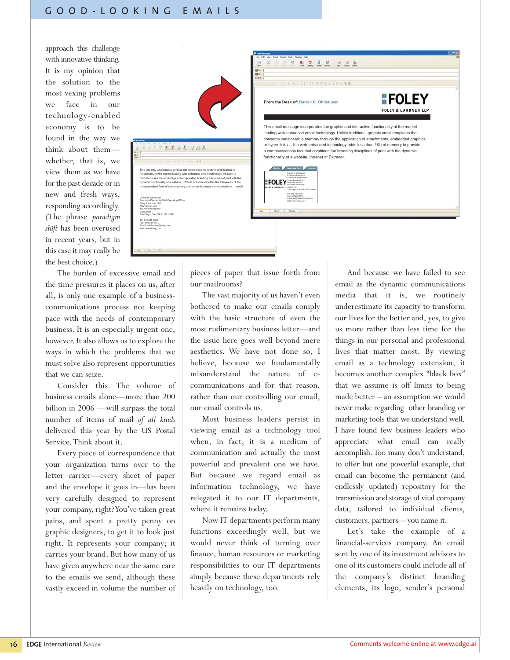approach this challenge with innovative thinking. It is my opinion that the solution to the most vexing problems we face in our technology-enabled economy is to be found in the way we think about them whether, that is, we view them as we have for the past decade or in new and fresh ways, responding accordingly. (The phrase *paradigm shift* has been overused in recent years, but in this case it may really be the best choice.)



The burden of excessive email and the time pressures it places on us, after all, is only one example of a businesscommunications process not keeping pace with the needs of contemporary business. It is an especially urgent one, however. It also allows us to explore the ways in which the problems that we must solve also represent opportunities that we can seize.

Consider this. The volume of business emails alone—more than 200 billion in 2006 —will surpass the total number of items of mail *of all kinds* delivered this year by the US Postal Service.Think about it.

Every piece of correspondence that your organization turns over to the letter carrier—every sheet of paper and the envelope it goes in—has been very carefully designed to represent your company, right? You've taken great pains, and spent a pretty penny on graphic designers, to get it to look just right. It represents your company; it carries your brand. But how many of us have given anywhere near the same care to the emails we send, although these vastly exceed in volume the number of pieces of paper that issue forth from our mailrooms?

The vast majority of us haven't even bothered to make our emails comply with the basic structure of even the most rudimentary business letter—and the issue here goes well beyond mere aesthetics. We have not done so, I believe, because we fundamentally misunderstand the nature of ecommunications and for that reason, rather than our controlling our email, our email controls us.

Most business leaders persist in viewing email as a technology tool when, in fact, it is a medium of communication and actually the most powerful and prevalent one we have. But because we regard email as information technology, we have relegated it to our IT departments, where it remains today.

Now IT departments perform many functions exceedingly well, but we would never think of turning over finance, human resources or marketing responsibilities to our IT departments simply because these departments rely heavily on technology, too.

And because we have failed to see email as the dynamic communications media that it is, we routinely underestimate its capacity to transform our lives for the better and, yes, to give us more rather than less time for the things in our personal and professional lives that matter most. By viewing email as a technology extension, it becomes another complex "black box" that we assume is off limits to being made better – an assumption we would never make regarding other branding or marketing tools that we understand well. I have found few business leaders who appreciate what email can really accomplish.Too many don't understand, to offer but one powerful example, that email can become the permanent (and endlessly updated) repository for the transmission and storage of vital company data, tailored to individual clients, customers, partners—you name it.

Let's take the example of a financial-services company. An email sent by one of its investment advisors to one of its customers could include all of the company's distinct branding elements, its logo, sender's personal